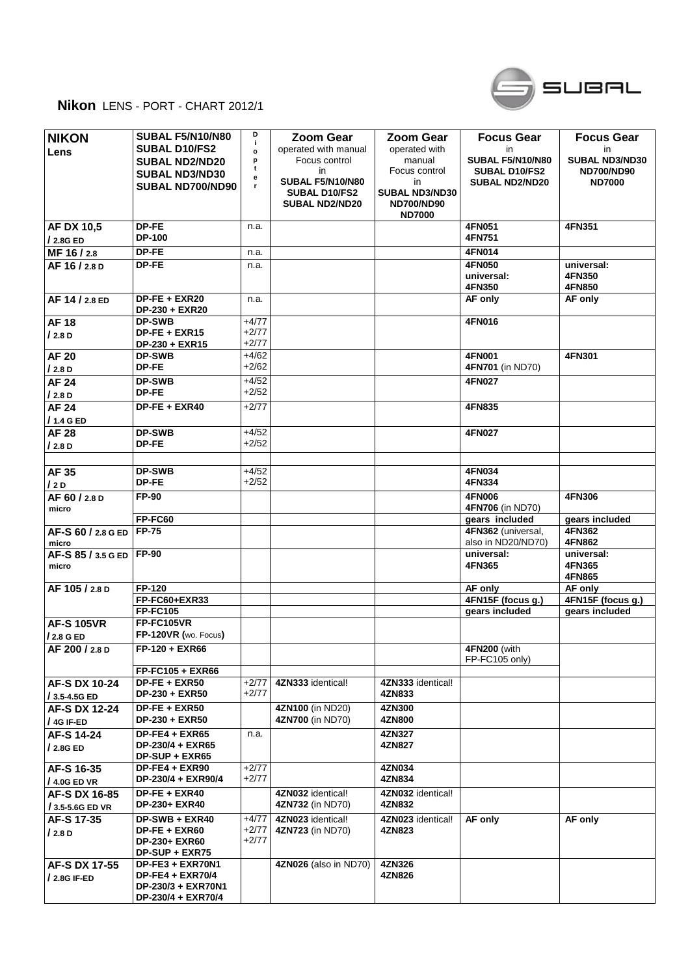

## **Nikon** LENS - PORT - CHART 2012/1

| <b>NIKON</b><br>Lens                  | <b>SUBAL F5/N10/N80</b><br><b>SUBAL D10/FS2</b><br><b>SUBAL ND2/ND20</b><br>SUBAL ND3/ND30 | D<br>j.<br>$\circ$<br>p<br>t<br>е | <b>Zoom Gear</b><br>operated with manual<br>Focus control<br>in<br><b>SUBAL F5/N10/N80</b> | <b>Zoom Gear</b><br>operated with<br>manual<br>Focus control<br>in | <b>Focus Gear</b><br>in<br><b>SUBAL F5/N10/N80</b><br><b>SUBAL D10/FS2</b><br><b>SUBAL ND2/ND20</b> | <b>Focus Gear</b><br>in<br>SUBAL ND3/ND30<br><b>ND700/ND90</b><br><b>ND7000</b> |
|---------------------------------------|--------------------------------------------------------------------------------------------|-----------------------------------|--------------------------------------------------------------------------------------------|--------------------------------------------------------------------|-----------------------------------------------------------------------------------------------------|---------------------------------------------------------------------------------|
|                                       | SUBAL ND700/ND90                                                                           | r                                 | SUBAL D10/FS2<br><b>SUBAL ND2/ND20</b>                                                     | <b>SUBAL ND3/ND30</b><br><b>ND700/ND90</b><br><b>ND7000</b>        |                                                                                                     |                                                                                 |
| <b>AF DX 10,5</b><br>/ 2.8G ED        | DP-FE<br><b>DP-100</b>                                                                     | n.a.                              |                                                                                            |                                                                    | 4FN051<br>4FN751                                                                                    | 4FN351                                                                          |
| MF 16/2.8                             | DP-FE                                                                                      | n.a.                              |                                                                                            |                                                                    | 4FN014                                                                                              |                                                                                 |
| AF 16 / 2.8 D                         | DP-FE                                                                                      | n.a.                              |                                                                                            |                                                                    | 4FN050<br>universal:<br>4FN350                                                                      | universal:<br>4FN350<br>4FN850                                                  |
| AF 14 / 2.8 ED                        | DP-FE + EXR20<br>DP-230 + EXR20                                                            | n.a.                              |                                                                                            |                                                                    | AF only                                                                                             | AF only                                                                         |
| <b>AF18</b>                           | <b>DP-SWB</b>                                                                              | $+4/77$                           |                                                                                            |                                                                    | 4FN016                                                                                              |                                                                                 |
| /2.8 D                                | $DP-FE + EXR15$<br>DP-230 + EXR15                                                          | +2/77<br>+2/77                    |                                                                                            |                                                                    |                                                                                                     |                                                                                 |
| <b>AF 20</b><br>/2.8D                 | <b>DP-SWB</b><br>DP-FE                                                                     | $+4/62$<br>$+2/62$                |                                                                                            |                                                                    | 4FN001<br>4FN701 (in ND70)                                                                          | 4FN301                                                                          |
| <b>AF 24</b>                          | <b>DP-SWB</b>                                                                              | $+4/52$                           |                                                                                            |                                                                    | 4FN027                                                                                              |                                                                                 |
| /2.8 D                                | DP-FE                                                                                      | $+2/52$                           |                                                                                            |                                                                    |                                                                                                     |                                                                                 |
| <b>AF 24</b><br>/ 1.4 G ED            | DP-FE + EXR40                                                                              | $+2/77$                           |                                                                                            |                                                                    | 4FN835                                                                                              |                                                                                 |
| <b>AF 28</b>                          | <b>DP-SWB</b>                                                                              | $+4/52$                           |                                                                                            |                                                                    | 4FN027                                                                                              |                                                                                 |
| /2.8 D                                | DP-FE                                                                                      | $+2/52$                           |                                                                                            |                                                                    |                                                                                                     |                                                                                 |
|                                       | <b>DP-SWB</b>                                                                              | $+4/52$                           |                                                                                            |                                                                    | 4FN034                                                                                              |                                                                                 |
| <b>AF35</b><br>12D                    | <b>DP-FE</b>                                                                               | $+2/52$                           |                                                                                            |                                                                    | 4FN334                                                                                              |                                                                                 |
| AF 60 / 2.8 D<br>micro                | FP-90                                                                                      |                                   |                                                                                            |                                                                    | <b>4FN006</b><br>4FN706 (in ND70)                                                                   | 4FN306                                                                          |
|                                       | <b>FP-FC60</b>                                                                             |                                   |                                                                                            |                                                                    | gears included                                                                                      | gears included                                                                  |
| AF-S 60 / 2.8 G ED<br>micro           | <b>FP-75</b>                                                                               |                                   |                                                                                            |                                                                    | 4FN362 (universal,<br>also in ND20/ND70)                                                            | 4FN362<br>4FN862                                                                |
| AF-S 85 / 3.5 G ED<br>micro           | <b>FP-90</b>                                                                               |                                   |                                                                                            |                                                                    | universal:<br>4FN365                                                                                | universal:<br>4FN365<br>4FN865                                                  |
| AF 105 / 2.8 D                        | <b>FP-120</b>                                                                              |                                   |                                                                                            |                                                                    | AF only                                                                                             | AF only                                                                         |
|                                       | FP-FC60+EXR33                                                                              |                                   |                                                                                            |                                                                    | 4FN15F (focus g.)                                                                                   | 4FN15F (focus g.)                                                               |
|                                       | <b>FP-FC105</b>                                                                            |                                   |                                                                                            |                                                                    | gears included                                                                                      | gears included                                                                  |
| <b>AF-S 105VR</b><br>/ 2.8 G ED       | FP-FC105VR<br>FP-120VR (wo. Focus)                                                         |                                   |                                                                                            |                                                                    |                                                                                                     |                                                                                 |
| AF 200 / 2.8 D                        | $FP-120 + EXR66$                                                                           |                                   |                                                                                            |                                                                    | 4FN200 (with<br>FP-FC105 only)                                                                      |                                                                                 |
|                                       | FP-FC105 + EXR66                                                                           |                                   |                                                                                            |                                                                    |                                                                                                     |                                                                                 |
| <b>AF-S DX 10-24</b><br>/ 3.5-4.5G ED | DP-FE + EXR50<br>DP-230 + EXR50                                                            | $+2/77$<br>$+2/77$                | 4ZN333 identical!                                                                          | 4ZN333 identical!<br>4ZN833                                        |                                                                                                     |                                                                                 |
| AF-S DX 12-24<br>/ 4G IF-ED           | DP-FE + EXR50<br>DP-230 + EXR50                                                            |                                   | 4ZN100 (in ND20)<br>4ZN700 (in ND70)                                                       | 4ZN300<br>4ZN800                                                   |                                                                                                     |                                                                                 |
| AF-S 14-24                            | DP-FE4 + EXR65                                                                             | n.a.                              |                                                                                            | 4ZN327                                                             |                                                                                                     |                                                                                 |
| /2.8GED                               | DP-230/4 + EXR65<br>DP-SUP + EXR65                                                         |                                   |                                                                                            | 4ZN827                                                             |                                                                                                     |                                                                                 |
| AF-S 16-35                            | DP-FE4 + EXR90                                                                             | +2/77                             |                                                                                            | 4ZN034                                                             |                                                                                                     |                                                                                 |
| / 4.0G ED VR                          | DP-230/4 + EXR90/4                                                                         | $+2/77$                           |                                                                                            | 4ZN834                                                             |                                                                                                     |                                                                                 |
| AF-S DX 16-85<br>/ 3.5-5.6G ED VR     | DP-FE + EXR40<br>DP-230+ EXR40                                                             |                                   | 4ZN032 identical!<br>4ZN732 (in ND70)                                                      | 4ZN032 identical!<br>4ZN832                                        |                                                                                                     |                                                                                 |
| AF-S 17-35<br>/2.8 D                  | DP-SWB + EXR40<br>DP-FE + EXR60                                                            | $+4/77$<br>$+2/77$                | 4ZN023 identical!<br>4ZN723 (in ND70)                                                      | 4ZN023 identical!<br>4ZN823                                        | AF only                                                                                             | AF only                                                                         |
|                                       | <b>DP-230+ EXR60</b><br>DP-SUP + EXR75                                                     | $+2/77$                           |                                                                                            |                                                                    |                                                                                                     |                                                                                 |
| AF-S DX 17-55                         | DP-FE3 + EXR70N1                                                                           |                                   | 4ZN026 (also in ND70)                                                                      | 4ZN326                                                             |                                                                                                     |                                                                                 |
| / 2.8G IF-ED                          | <b>DP-FE4 + EXR70/4</b><br>DP-230/3 + EXR70N1                                              |                                   |                                                                                            | 4ZN826                                                             |                                                                                                     |                                                                                 |
|                                       | DP-230/4 + EXR70/4                                                                         |                                   |                                                                                            |                                                                    |                                                                                                     |                                                                                 |